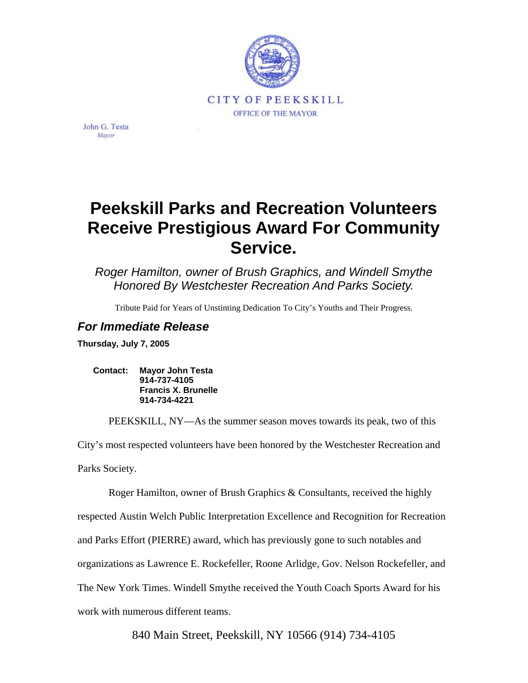

John G. Testa Mayor

## **Peekskill Parks and Recreation Volunteers Receive Prestigious Award For Community Service.**

*Roger Hamilton, owner of Brush Graphics, and Windell Smythe Honored By Westchester Recreation And Parks Society.* 

Tribute Paid for Years of Unstinting Dedication To City's Youths and Their Progress.

## *For Immediate Release*

**Thursday, July 7, 2005** 

**Contact: Mayor John Testa 914-737-4105 Francis X. Brunelle 914-734-4221** 

PEEKSKILL, NY—As the summer season moves towards its peak, two of this

City's most respected volunteers have been honored by the Westchester Recreation and Parks Society.

Roger Hamilton, owner of Brush Graphics & Consultants, received the highly respected Austin Welch Public Interpretation Excellence and Recognition for Recreation and Parks Effort (PIERRE) award, which has previously gone to such notables and organizations as Lawrence E. Rockefeller, Roone Arlidge, Gov. Nelson Rockefeller, and The New York Times. Windell Smythe received the Youth Coach Sports Award for his work with numerous different teams.

840 Main Street, Peekskill, NY 10566 (914) 734-4105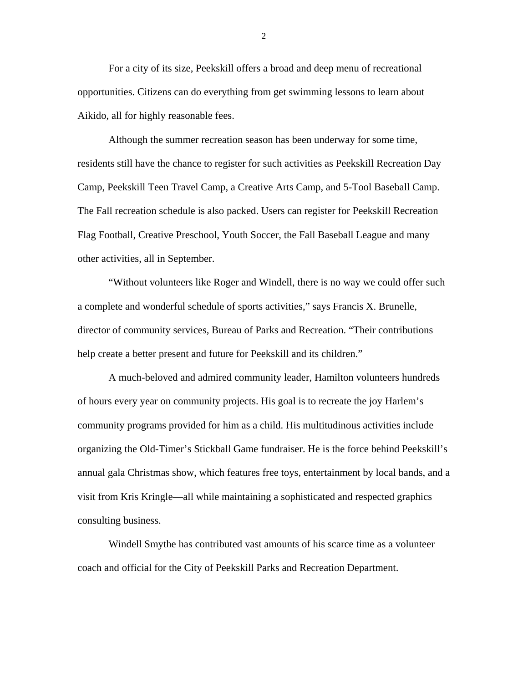For a city of its size, Peekskill offers a broad and deep menu of recreational opportunities. Citizens can do everything from get swimming lessons to learn about Aikido, all for highly reasonable fees.

Although the summer recreation season has been underway for some time, residents still have the chance to register for such activities as Peekskill Recreation Day Camp, Peekskill Teen Travel Camp, a Creative Arts Camp, and 5-Tool Baseball Camp. The Fall recreation schedule is also packed. Users can register for Peekskill Recreation Flag Football, Creative Preschool, Youth Soccer, the Fall Baseball League and many other activities, all in September.

"Without volunteers like Roger and Windell, there is no way we could offer such a complete and wonderful schedule of sports activities," says Francis X. Brunelle, director of community services, Bureau of Parks and Recreation. "Their contributions help create a better present and future for Peekskill and its children."

A much-beloved and admired community leader, Hamilton volunteers hundreds of hours every year on community projects. His goal is to recreate the joy Harlem's community programs provided for him as a child. His multitudinous activities include organizing the Old-Timer's Stickball Game fundraiser. He is the force behind Peekskill's annual gala Christmas show, which features free toys, entertainment by local bands, and a visit from Kris Kringle—all while maintaining a sophisticated and respected graphics consulting business.

Windell Smythe has contributed vast amounts of his scarce time as a volunteer coach and official for the City of Peekskill Parks and Recreation Department.

2